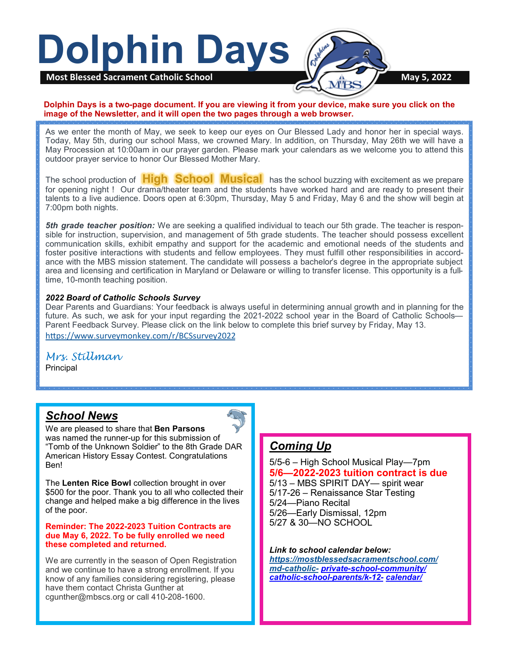

#### **Dolphin Days is a two-page document. If you are viewing it from your device, make sure you click on the image of the Newsletter, and it will open the two pages through a web browser.**

As we enter the month of May, we seek to keep our eyes on Our Blessed Lady and honor her in special ways. Today, May 5th, during our school Mass, we crowned Mary. In addition, on Thursday, May 26th we will have a May Procession at 10:00am in our prayer garden. Please mark your calendars as we welcome you to attend this outdoor prayer service to honor Our Blessed Mother Mary.

The school production of **High School Musical** has the school buzzing with excitement as we prepare for opening night ! Our drama/theater team and the students have worked hard and are ready to present their talents to a live audience. Doors open at 6:30pm, Thursday, May 5 and Friday, May 6 and the show will begin at 7:00pm both nights.

*5th grade teacher position:* We are seeking a qualified individual to teach our 5th grade. The teacher is responsible for instruction, supervision, and management of 5th grade students. The teacher should possess excellent communication skills, exhibit empathy and support for the academic and emotional needs of the students and foster positive interactions with students and fellow employees. They must fulfill other responsibilities in accordance with the MBS mission statement. The candidate will possess a bachelor's degree in the appropriate subject area and licensing and certification in Maryland or Delaware or willing to transfer license. This opportunity is a fulltime, 10-month teaching position.

#### *2022 Board of Catholic Schools Survey*

Dear Parents and Guardians: Your feedback is always useful in determining annual growth and in planning for the future. As such, we ask for your input regarding the 2021-2022 school year in the Board of Catholic Schools— Parent Feedback Survey. Please click on the link below to complete this brief survey by Friday, May 13. <https://www.surveymonkey.com/r/BCSsurvey2022>

# *Mrs. Stillman*

**Principal** 

## *School News*

We are pleased to share that **Ben Parsons**  was named the runner-up for this submission of "Tomb of the Unknown Soldier" to the 8th Grade DAR American History Essay Contest. Congratulations Ben!

The **Lenten Rice Bowl** collection brought in over \$500 for the poor. Thank you to all who collected their change and helped make a big difference in the lives of the poor.

### **Reminder: The 2022-2023 Tuition Contracts are due May 6, 2022. To be fully enrolled we need these completed and returned.**

We are currently in the season of Open Registration and we continue to have a strong enrollment. If you know of any families considering registering, please have them contact Christa Gunther at cgunther@mbscs.org or call 410-208-1600.

# *Coming Up*

5/5-6 – High School Musical Play—7pm **5/6—2022-2023 tuition contract is due** 5/13 – MBS SPIRIT DAY— spirit wear 5/17-26 – Renaissance Star Testing 5/24—Piano Recital 5/26—Early Dismissal, 12pm 5/27 & 30—NO SCHOOL

*Link to school calendar below: [https://mostblessedsacramentschool.com/](https://mostblessedsacramentschool.com/md-catholic-) md-[catholic](https://mostblessedsacramentschool.com/md-catholic-)- private-school-[community/](https://mostblessedsacramentschool.com/md-catholic-private-school-community/catholic-school-parents/k-12-calendar/) catholic-school-[parents/k](https://mostblessedsacramentschool.com/md-catholic-private-school-community/catholic-school-parents/k-12-calendar/)-12- [calendar/](https://mostblessedsacramentschool.com/md-catholic-private-school-community/catholic-school-parents/k-12-calendar/)*